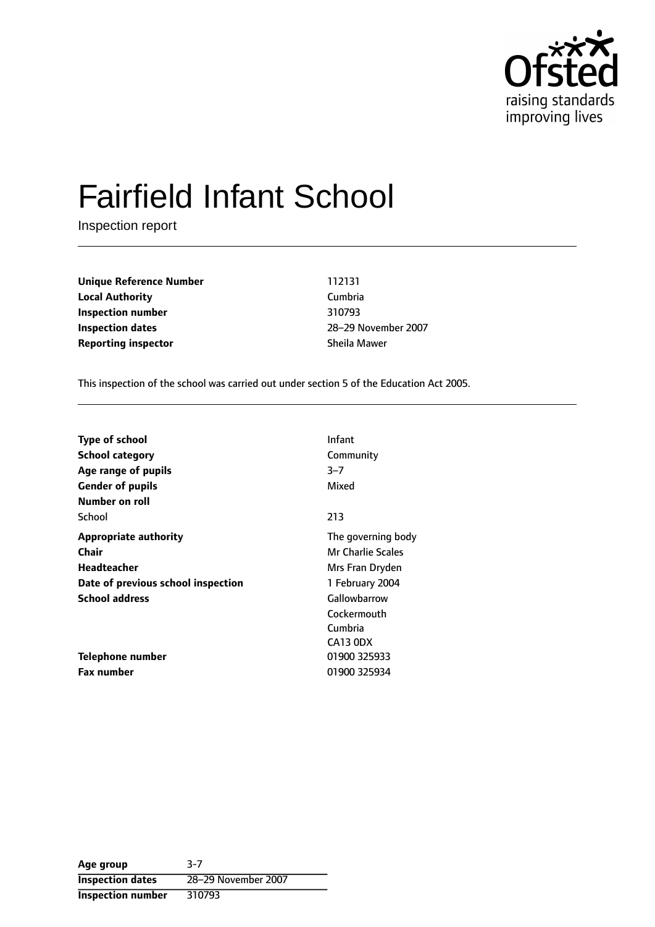

# Fairfield Infant School

Inspection report

**Unique Reference Number** 112131 **Local Authority** Cumbria **Inspection number** 310793 **Inspection dates** 28-29 November 2007 **Reporting inspector** Sheila Mawer

This inspection of the school was carried out under section 5 of the Education Act 2005.

| Type of school                     | Infant             |
|------------------------------------|--------------------|
| <b>School category</b>             | Community          |
| Age range of pupils                | $3 - 7$            |
| <b>Gender of pupils</b>            | Mixed              |
| Number on roll                     |                    |
| School                             | 213                |
| <b>Appropriate authority</b>       | The governing body |
| <b>Chair</b>                       | Mr Charlie Scales  |
| Headteacher                        | Mrs Fran Dryden    |
| Date of previous school inspection | 1 February 2004    |
| <b>School address</b>              | Gallowbarrow       |
|                                    | Cockermouth        |
|                                    | Cumbria            |
|                                    | CA13 ODX           |
| Telephone number                   | 01900 325933       |
| <b>Fax number</b>                  | 01900 325934       |

**Age group** 3-7 **Inspection dates** 28-29 November 2007 **Inspection number** 310793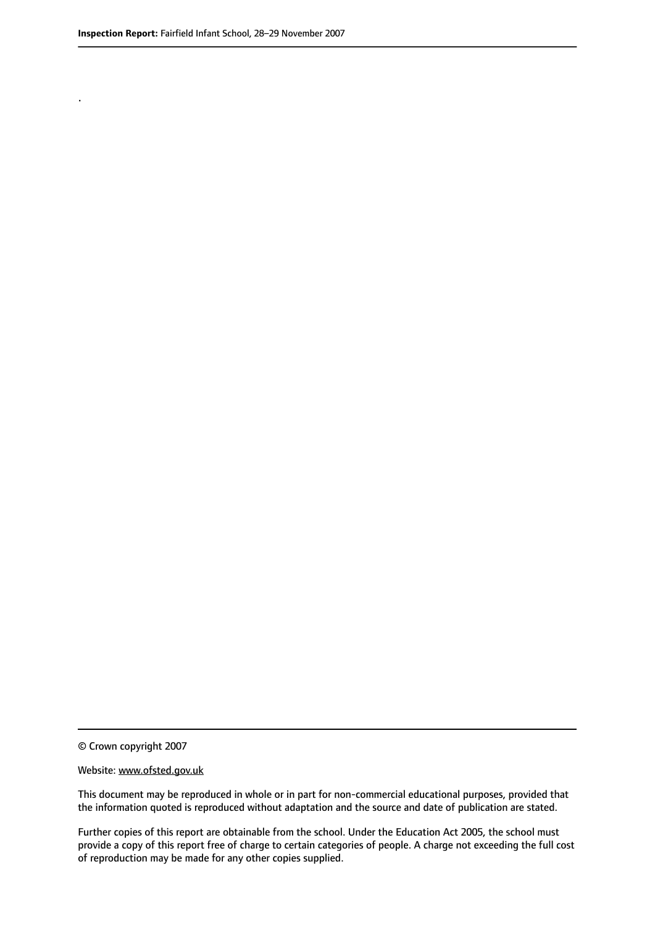.

© Crown copyright 2007

#### Website: www.ofsted.gov.uk

This document may be reproduced in whole or in part for non-commercial educational purposes, provided that the information quoted is reproduced without adaptation and the source and date of publication are stated.

Further copies of this report are obtainable from the school. Under the Education Act 2005, the school must provide a copy of this report free of charge to certain categories of people. A charge not exceeding the full cost of reproduction may be made for any other copies supplied.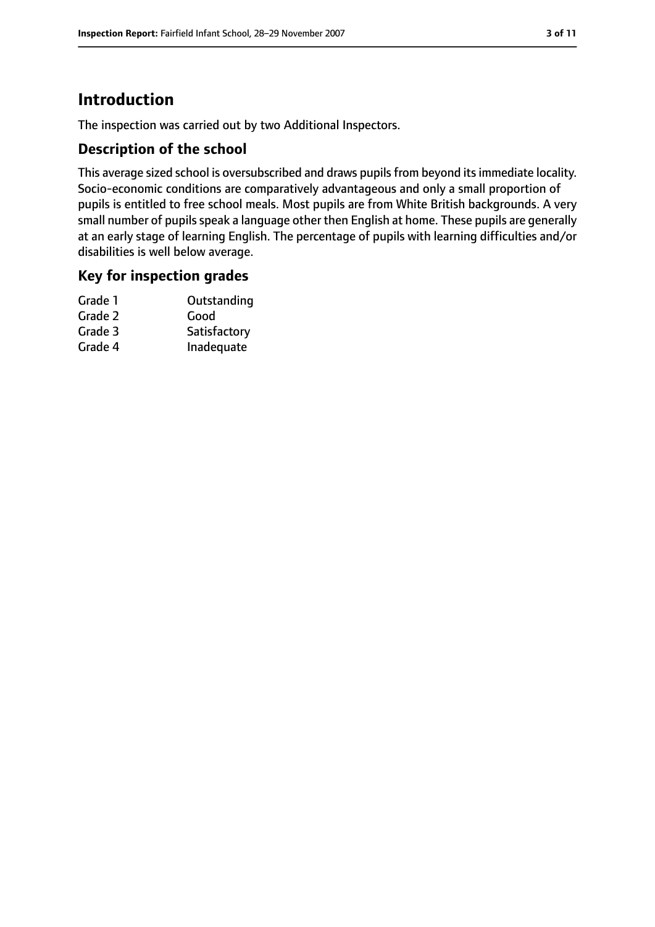## **Introduction**

The inspection was carried out by two Additional Inspectors.

## **Description of the school**

This average sized school is oversubscribed and draws pupils from beyond its immediate locality. Socio-economic conditions are comparatively advantageous and only a small proportion of pupils is entitled to free school meals. Most pupils are from White British backgrounds. A very small number of pupils speak a language other then English at home. These pupils are generally at an early stage of learning English. The percentage of pupils with learning difficulties and/or disabilities is well below average.

#### **Key for inspection grades**

| Grade 1 | Outstanding  |
|---------|--------------|
| Grade 2 | Good         |
| Grade 3 | Satisfactory |
| Grade 4 | Inadequate   |
|         |              |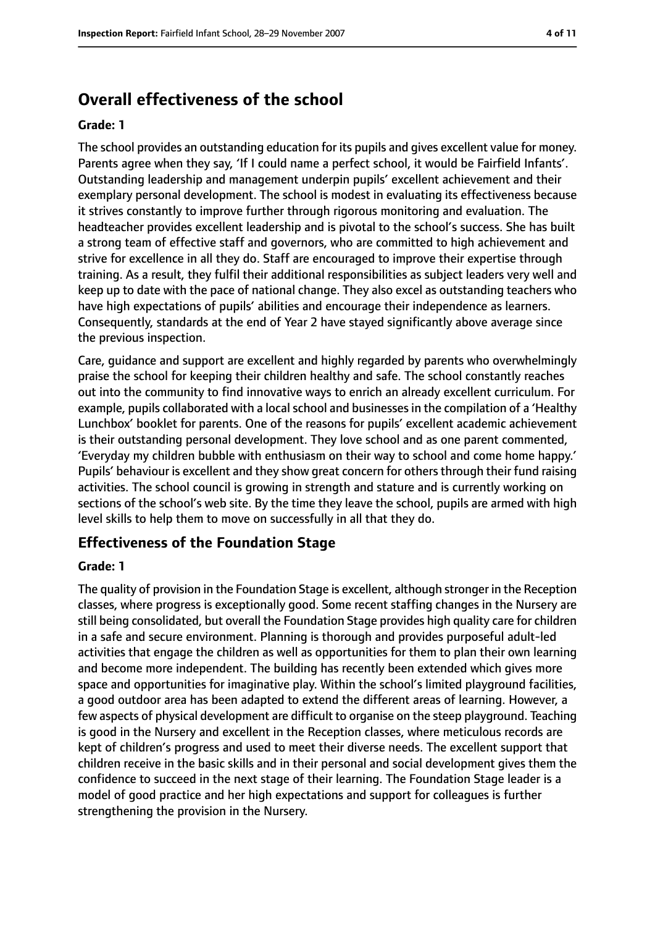## **Overall effectiveness of the school**

#### **Grade: 1**

The school provides an outstanding education for its pupils and gives excellent value for money. Parents agree when they say, 'If I could name a perfect school, it would be Fairfield Infants'. Outstanding leadership and management underpin pupils' excellent achievement and their exemplary personal development. The school is modest in evaluating its effectiveness because it strives constantly to improve further through rigorous monitoring and evaluation. The headteacher provides excellent leadership and is pivotal to the school's success. She has built a strong team of effective staff and governors, who are committed to high achievement and strive for excellence in all they do. Staff are encouraged to improve their expertise through training. As a result, they fulfil their additional responsibilities as subject leaders very well and keep up to date with the pace of national change. They also excel as outstanding teachers who have high expectations of pupils' abilities and encourage their independence as learners. Consequently, standards at the end of Year 2 have stayed significantly above average since the previous inspection.

Care, guidance and support are excellent and highly regarded by parents who overwhelmingly praise the school for keeping their children healthy and safe. The school constantly reaches out into the community to find innovative ways to enrich an already excellent curriculum. For example, pupils collaborated with a local school and businesses in the compilation of a 'Healthy Lunchbox' booklet for parents. One of the reasons for pupils' excellent academic achievement is their outstanding personal development. They love school and as one parent commented, 'Everyday my children bubble with enthusiasm on their way to school and come home happy.' Pupils' behaviour is excellent and they show great concern for others through their fund raising activities. The school council is growing in strength and stature and is currently working on sections of the school's web site. By the time they leave the school, pupils are armed with high level skills to help them to move on successfully in all that they do.

#### **Effectiveness of the Foundation Stage**

#### **Grade: 1**

The quality of provision in the Foundation Stage is excellent, although stronger in the Reception classes, where progress is exceptionally good. Some recent staffing changes in the Nursery are still being consolidated, but overall the Foundation Stage provides high quality care for children in a safe and secure environment. Planning is thorough and provides purposeful adult-led activities that engage the children as well as opportunities for them to plan their own learning and become more independent. The building has recently been extended which gives more space and opportunities for imaginative play. Within the school's limited playground facilities, a good outdoor area has been adapted to extend the different areas of learning. However, a few aspects of physical development are difficult to organise on the steep playground. Teaching is good in the Nursery and excellent in the Reception classes, where meticulous records are kept of children's progress and used to meet their diverse needs. The excellent support that children receive in the basic skills and in their personal and social development gives them the confidence to succeed in the next stage of their learning. The Foundation Stage leader is a model of good practice and her high expectations and support for colleagues is further strengthening the provision in the Nursery.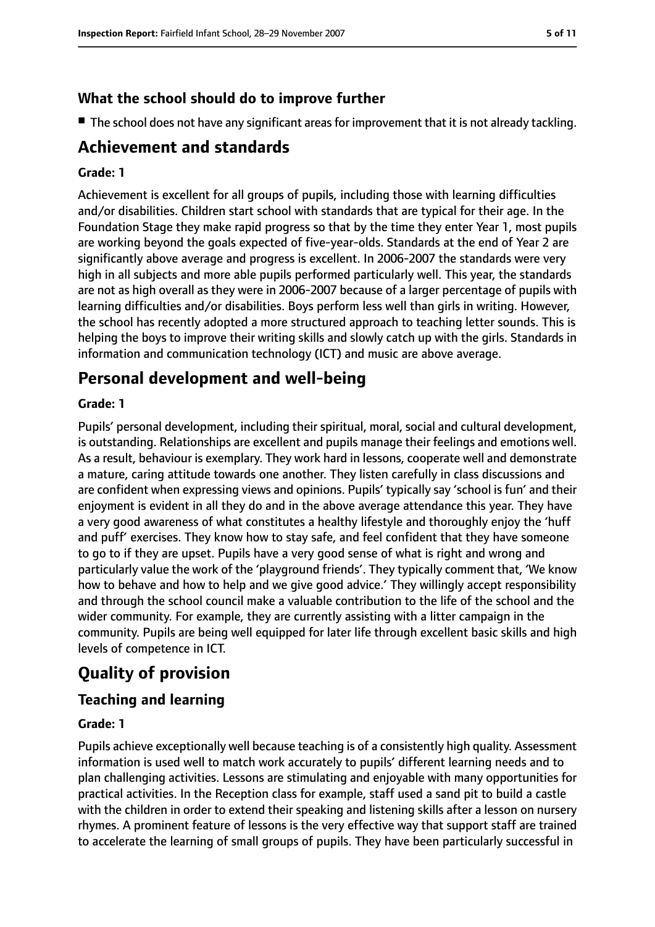## **What the school should do to improve further**

■ The school does not have any significant areas for improvement that it is not already tackling.

## **Achievement and standards**

#### **Grade: 1**

Achievement is excellent for all groups of pupils, including those with learning difficulties and/or disabilities. Children start school with standards that are typical for their age. In the Foundation Stage they make rapid progress so that by the time they enter Year 1, most pupils are working beyond the goals expected of five-year-olds. Standards at the end of Year 2 are significantly above average and progress is excellent. In 2006-2007 the standards were very high in all subjects and more able pupils performed particularly well. This year, the standards are not as high overall as they were in 2006-2007 because of a larger percentage of pupils with learning difficulties and/or disabilities. Boys perform less well than girls in writing. However, the school has recently adopted a more structured approach to teaching letter sounds. This is helping the boys to improve their writing skills and slowly catch up with the girls. Standards in information and communication technology (ICT) and music are above average.

## **Personal development and well-being**

#### **Grade: 1**

Pupils' personal development, including their spiritual, moral, social and cultural development, is outstanding. Relationships are excellent and pupils manage their feelings and emotions well. As a result, behaviour is exemplary. They work hard in lessons, cooperate well and demonstrate a mature, caring attitude towards one another. They listen carefully in class discussions and are confident when expressing views and opinions. Pupils' typically say 'school is fun' and their enjoyment is evident in all they do and in the above average attendance this year. They have a very good awareness of what constitutes a healthy lifestyle and thoroughly enjoy the 'huff and puff' exercises. They know how to stay safe, and feel confident that they have someone to go to if they are upset. Pupils have a very good sense of what is right and wrong and particularly value the work of the 'playground friends'. They typically comment that, 'We know how to behave and how to help and we give good advice.' They willingly accept responsibility and through the school council make a valuable contribution to the life of the school and the wider community. For example, they are currently assisting with a litter campaign in the community. Pupils are being well equipped for later life through excellent basic skills and high levels of competence in ICT.

## **Quality of provision**

## **Teaching and learning**

#### **Grade: 1**

Pupils achieve exceptionally well because teaching is of a consistently high quality. Assessment information is used well to match work accurately to pupils' different learning needs and to plan challenging activities. Lessons are stimulating and enjoyable with many opportunities for practical activities. In the Reception class for example, staff used a sand pit to build a castle with the children in order to extend their speaking and listening skills after a lesson on nursery rhymes. A prominent feature of lessons is the very effective way that support staff are trained to accelerate the learning of small groups of pupils. They have been particularly successful in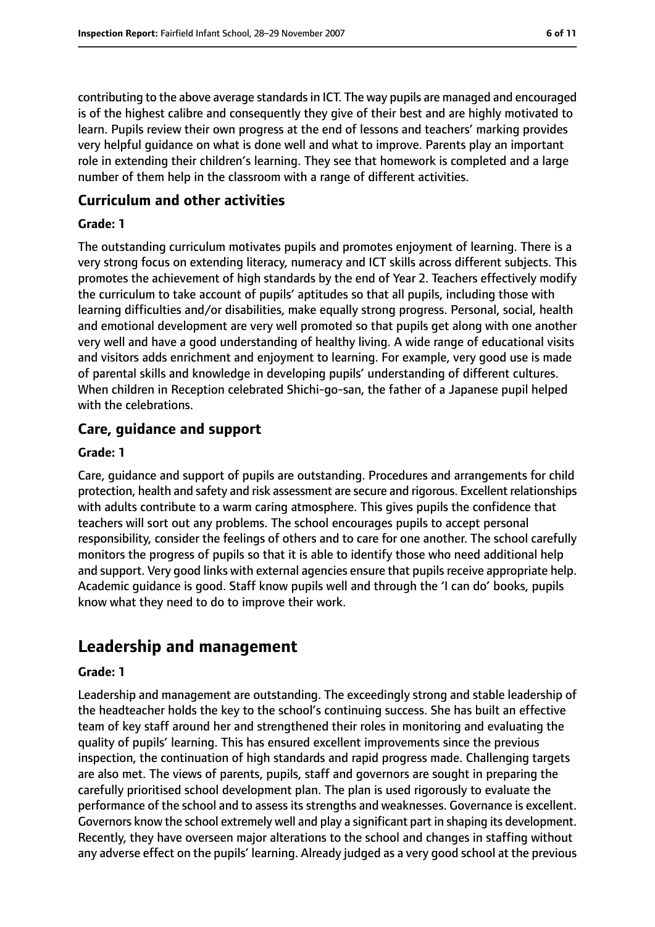contributing to the above average standardsin ICT. The way pupils are managed and encouraged is of the highest calibre and consequently they give of their best and are highly motivated to learn. Pupils review their own progress at the end of lessons and teachers' marking provides very helpful guidance on what is done well and what to improve. Parents play an important role in extending their children's learning. They see that homework is completed and a large number of them help in the classroom with a range of different activities.

## **Curriculum and other activities**

#### **Grade: 1**

The outstanding curriculum motivates pupils and promotes enjoyment of learning. There is a very strong focus on extending literacy, numeracy and ICT skills across different subjects. This promotes the achievement of high standards by the end of Year 2. Teachers effectively modify the curriculum to take account of pupils' aptitudes so that all pupils, including those with learning difficulties and/or disabilities, make equally strong progress. Personal, social, health and emotional development are very well promoted so that pupils get along with one another very well and have a good understanding of healthy living. A wide range of educational visits and visitors adds enrichment and enjoyment to learning. For example, very good use is made of parental skills and knowledge in developing pupils' understanding of different cultures. When children in Reception celebrated Shichi-go-san, the father of a Japanese pupil helped with the celebrations.

## **Care, guidance and support**

#### **Grade: 1**

Care, guidance and support of pupils are outstanding. Procedures and arrangements for child protection, health and safety and risk assessment are secure and rigorous. Excellent relationships with adults contribute to a warm caring atmosphere. This gives pupils the confidence that teachers will sort out any problems. The school encourages pupils to accept personal responsibility, consider the feelings of others and to care for one another. The school carefully monitors the progress of pupils so that it is able to identify those who need additional help and support. Very good links with external agencies ensure that pupils receive appropriate help. Academic guidance is good. Staff know pupils well and through the 'I can do' books, pupils know what they need to do to improve their work.

## **Leadership and management**

#### **Grade: 1**

Leadership and management are outstanding. The exceedingly strong and stable leadership of the headteacher holds the key to the school's continuing success. She has built an effective team of key staff around her and strengthened their roles in monitoring and evaluating the quality of pupils' learning. This has ensured excellent improvements since the previous inspection, the continuation of high standards and rapid progress made. Challenging targets are also met. The views of parents, pupils, staff and governors are sought in preparing the carefully prioritised school development plan. The plan is used rigorously to evaluate the performance of the school and to assess its strengths and weaknesses. Governance is excellent. Governors know the school extremely well and play a significant part in shaping its development. Recently, they have overseen major alterations to the school and changes in staffing without any adverse effect on the pupils' learning. Already judged as a very good school at the previous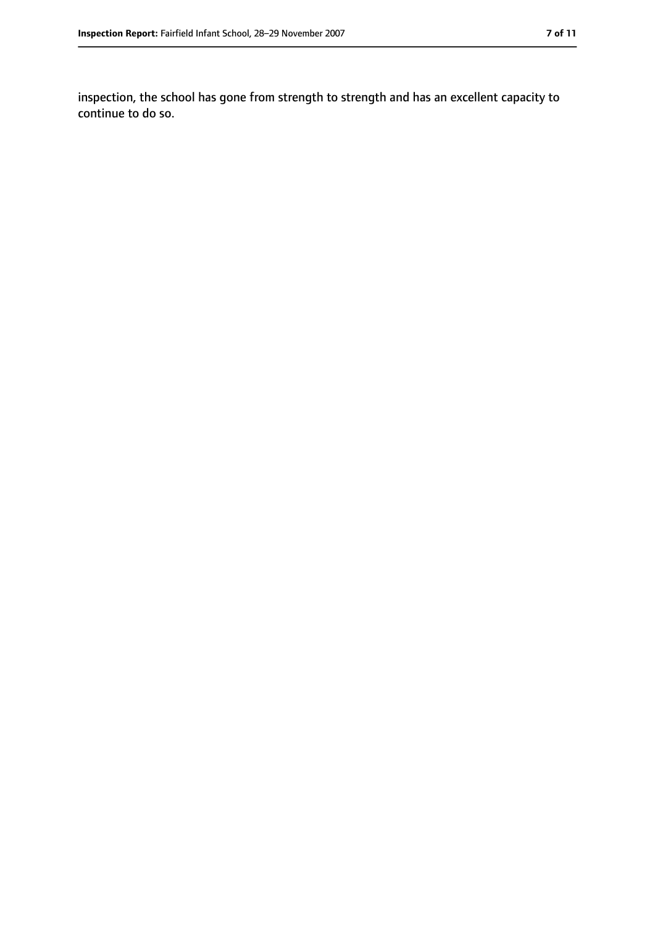inspection, the school has gone from strength to strength and has an excellent capacity to continue to do so.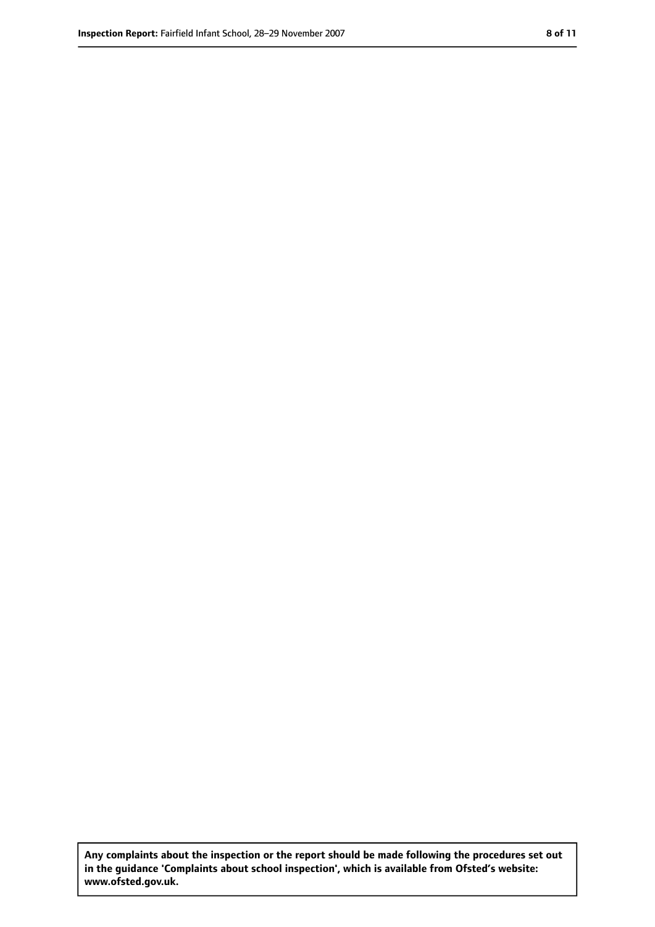**Any complaints about the inspection or the report should be made following the procedures set out in the guidance 'Complaints about school inspection', which is available from Ofsted's website: www.ofsted.gov.uk.**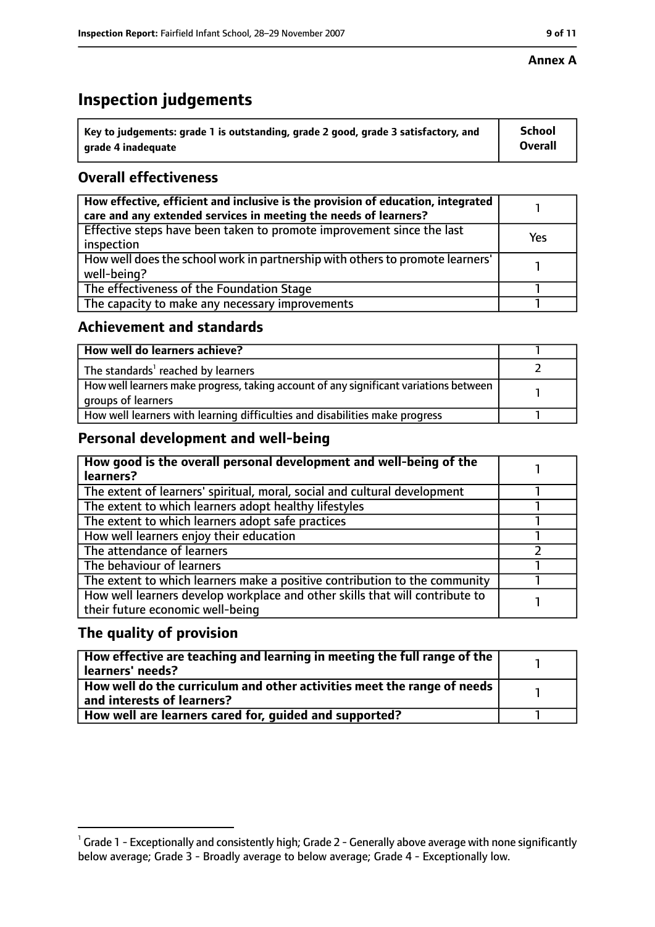#### **Annex A**

## **Inspection judgements**

| $^{\backprime}$ Key to judgements: grade 1 is outstanding, grade 2 good, grade 3 satisfactory, and | School         |
|----------------------------------------------------------------------------------------------------|----------------|
| arade 4 inadeguate                                                                                 | <b>Overall</b> |

## **Overall effectiveness**

| How effective, efficient and inclusive is the provision of education, integrated<br>care and any extended services in meeting the needs of learners? |     |
|------------------------------------------------------------------------------------------------------------------------------------------------------|-----|
| Effective steps have been taken to promote improvement since the last<br>inspection                                                                  | Yes |
| How well does the school work in partnership with others to promote learners'<br>well-being?                                                         |     |
| The effectiveness of the Foundation Stage                                                                                                            |     |
| The capacity to make any necessary improvements                                                                                                      |     |

## **Achievement and standards**

| How well do learners achieve?                                                                               |  |
|-------------------------------------------------------------------------------------------------------------|--|
| The standards <sup>1</sup> reached by learners                                                              |  |
| How well learners make progress, taking account of any significant variations between<br>groups of learners |  |
| How well learners with learning difficulties and disabilities make progress                                 |  |

## **Personal development and well-being**

| How good is the overall personal development and well-being of the<br>learners?                                  |  |
|------------------------------------------------------------------------------------------------------------------|--|
| The extent of learners' spiritual, moral, social and cultural development                                        |  |
| The extent to which learners adopt healthy lifestyles                                                            |  |
| The extent to which learners adopt safe practices                                                                |  |
| How well learners enjoy their education                                                                          |  |
| The attendance of learners                                                                                       |  |
| The behaviour of learners                                                                                        |  |
| The extent to which learners make a positive contribution to the community                                       |  |
| How well learners develop workplace and other skills that will contribute to<br>their future economic well-being |  |

## **The quality of provision**

| How effective are teaching and learning in meeting the full range of the<br>learners' needs?          |  |
|-------------------------------------------------------------------------------------------------------|--|
| How well do the curriculum and other activities meet the range of needs<br>and interests of learners? |  |
| How well are learners cared for, quided and supported?                                                |  |

 $^1$  Grade 1 - Exceptionally and consistently high; Grade 2 - Generally above average with none significantly below average; Grade 3 - Broadly average to below average; Grade 4 - Exceptionally low.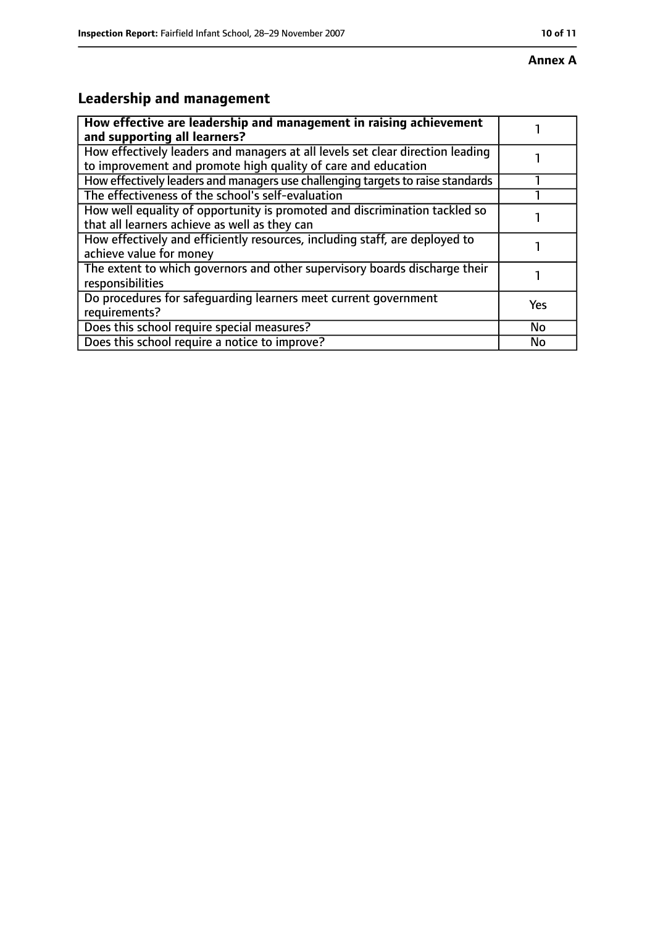## **Leadership and management**

| How effective are leadership and management in raising achievement<br>and supporting all learners?                                              |           |
|-------------------------------------------------------------------------------------------------------------------------------------------------|-----------|
| How effectively leaders and managers at all levels set clear direction leading<br>to improvement and promote high quality of care and education |           |
| How effectively leaders and managers use challenging targets to raise standards                                                                 |           |
| The effectiveness of the school's self-evaluation                                                                                               |           |
| How well equality of opportunity is promoted and discrimination tackled so<br>that all learners achieve as well as they can                     |           |
| How effectively and efficiently resources, including staff, are deployed to<br>achieve value for money                                          |           |
| The extent to which governors and other supervisory boards discharge their<br>responsibilities                                                  |           |
| Do procedures for safequarding learners meet current government<br>requirements?                                                                | Yes       |
| Does this school require special measures?                                                                                                      | <b>No</b> |
| Does this school require a notice to improve?                                                                                                   | No        |